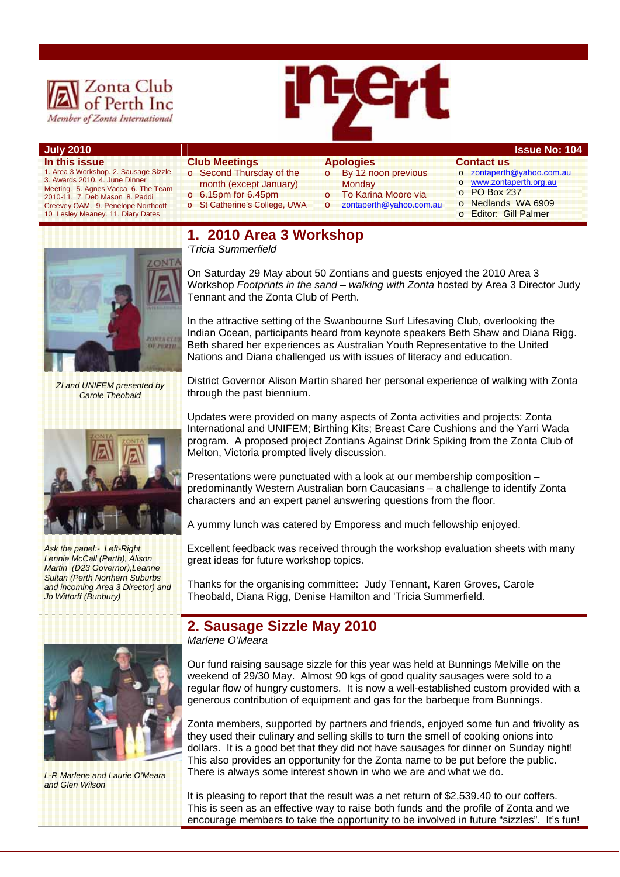

# **July 2010 Issue No: 104**

**In this issue**  1. Area 3 Workshop. 2. Sausage Sizzle 3. Awards 2010. 4. June Dinner Meeting. 5. Agnes Vacca 6. The Team 2010-11. 7. Deb Mason 8. Paddi Creevey OAM. 9. Penelope Northcott 10 Lesley Meaney. 11. Diary Dates



# **Apologies**

- o By 12 noon previous **Monday**
- To Karina Moore via

o zontaperth@yahoo.com.au

- o zontaperth@yahoo.com.au o www.zontaperth.org.au
- o PO Box 237

**Contact us** 

- o Nedlands WA 6909
- o Editor: Gill Palmer



*ZI and UNIFEM presented by Carole Theobald* 



*Ask the panel:- Left-Right Lennie McCall (Perth), Alison Martin (D23 Governor),Leanne Sultan (Perth Northern Suburbs and incoming Area 3 Director) and Jo Wittorff (Bunbury)* 



*L-R Marlene and Laurie O'Meara and Glen Wilson* 

# **1. 2010 Area 3 Workshop**

*'Tricia Summerfield* 

**Club Meetings** 

o Second Thursday of the month (except January) o 6.15pm for 6.45pm o St Catherine's College, UWA

On Saturday 29 May about 50 Zontians and guests enjoyed the 2010 Area 3 Workshop *Footprints in the sand – walking with Zonta* hosted by Area 3 Director Judy Tennant and the Zonta Club of Perth.

In the attractive setting of the Swanbourne Surf Lifesaving Club, overlooking the Indian Ocean, participants heard from keynote speakers Beth Shaw and Diana Rigg. Beth shared her experiences as Australian Youth Representative to the United Nations and Diana challenged us with issues of literacy and education.

District Governor Alison Martin shared her personal experience of walking with Zonta through the past biennium.

Updates were provided on many aspects of Zonta activities and projects: Zonta International and UNIFEM; Birthing Kits; Breast Care Cushions and the Yarri Wada program. A proposed project Zontians Against Drink Spiking from the Zonta Club of Melton, Victoria prompted lively discussion.

Presentations were punctuated with a look at our membership composition – predominantly Western Australian born Caucasians – a challenge to identify Zonta characters and an expert panel answering questions from the floor.

A yummy lunch was catered by Emporess and much fellowship enjoyed.

Excellent feedback was received through the workshop evaluation sheets with many great ideas for future workshop topics.

Thanks for the organising committee: Judy Tennant, Karen Groves, Carole Theobald, Diana Rigg, Denise Hamilton and 'Tricia Summerfield.

# **2. Sausage Sizzle May 2010**

*Marlene O'Meara* 

Our fund raising sausage sizzle for this year was held at Bunnings Melville on the weekend of 29/30 May. Almost 90 kgs of good quality sausages were sold to a regular flow of hungry customers. It is now a well-established custom provided with a generous contribution of equipment and gas for the barbeque from Bunnings.

Zonta members, supported by partners and friends, enjoyed some fun and frivolity as they used their culinary and selling skills to turn the smell of cooking onions into dollars. It is a good bet that they did not have sausages for dinner on Sunday night! This also provides an opportunity for the Zonta name to be put before the public. There is always some interest shown in who we are and what we do.

It is pleasing to report that the result was a net return of \$2,539.40 to our coffers. This is seen as an effective way to raise both funds and the profile of Zonta and we encourage members to take the opportunity to be involved in future "sizzles". It's fun!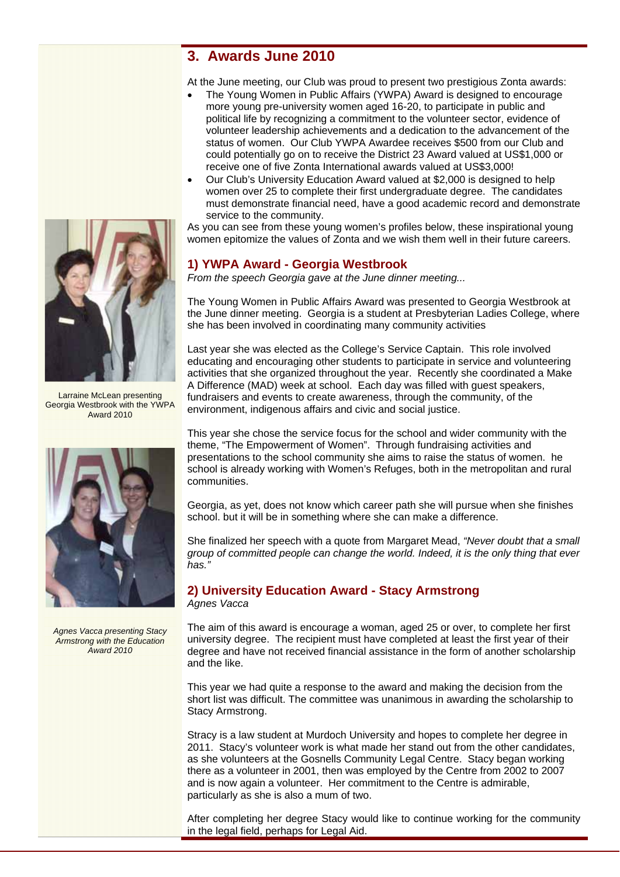# **3. Awards June 2010**

At the June meeting, our Club was proud to present two prestigious Zonta awards:

- The Young Women in Public Affairs (YWPA) Award is designed to encourage more young pre-university women aged 16-20, to participate in public and political life by recognizing a commitment to the volunteer sector, evidence of volunteer leadership achievements and a dedication to the advancement of the status of women. Our Club YWPA Awardee receives \$500 from our Club and could potentially go on to receive the District 23 Award valued at US\$1,000 or receive one of five Zonta International awards valued at US\$3,000!
- Our Club's University Education Award valued at \$2,000 is designed to help women over 25 to complete their first undergraduate degree. The candidates must demonstrate financial need, have a good academic record and demonstrate service to the community.

As you can see from these young women's profiles below, these inspirational young women epitomize the values of Zonta and we wish them well in their future careers.

# **1) YWPA Award - Georgia Westbrook**

*From the speech Georgia gave at the June dinner meeting...* 

The Young Women in Public Affairs Award was presented to Georgia Westbrook at the June dinner meeting. Georgia is a student at Presbyterian Ladies College, where she has been involved in coordinating many community activities

Last year she was elected as the College's Service Captain. This role involved educating and encouraging other students to participate in service and volunteering activities that she organized throughout the year. Recently she coordinated a Make A Difference (MAD) week at school. Each day was filled with guest speakers, fundraisers and events to create awareness, through the community, of the environment, indigenous affairs and civic and social justice.

This year she chose the service focus for the school and wider community with the theme, "The Empowerment of Women". Through fundraising activities and presentations to the school community she aims to raise the status of women. he school is already working with Women's Refuges, both in the metropolitan and rural communities.

Georgia, as yet, does not know which career path she will pursue when she finishes school. but it will be in something where she can make a difference.

She finalized her speech with a quote from Margaret Mead, *"Never doubt that a small group of committed people can change the world. Indeed, it is the only thing that ever has."* 

# **2) University Education Award - Stacy Armstrong**

*Agnes Vacca* 

The aim of this award is encourage a woman, aged 25 or over, to complete her first university degree. The recipient must have completed at least the first year of their degree and have not received financial assistance in the form of another scholarship and the like.

This year we had quite a response to the award and making the decision from the short list was difficult. The committee was unanimous in awarding the scholarship to Stacy Armstrong.

Stracy is a law student at Murdoch University and hopes to complete her degree in 2011. Stacy's volunteer work is what made her stand out from the other candidates, as she volunteers at the Gosnells Community Legal Centre. Stacy began working there as a volunteer in 2001, then was employed by the Centre from 2002 to 2007 and is now again a volunteer. Her commitment to the Centre is admirable, particularly as she is also a mum of two.

After completing her degree Stacy would like to continue working for the community in the legal field, perhaps for Legal Aid.



Larraine McLean presenting Georgia Westbrook with the YWPA Award 2010



*Agnes Vacca presenting Stacy Armstrong with the Education Award 2010*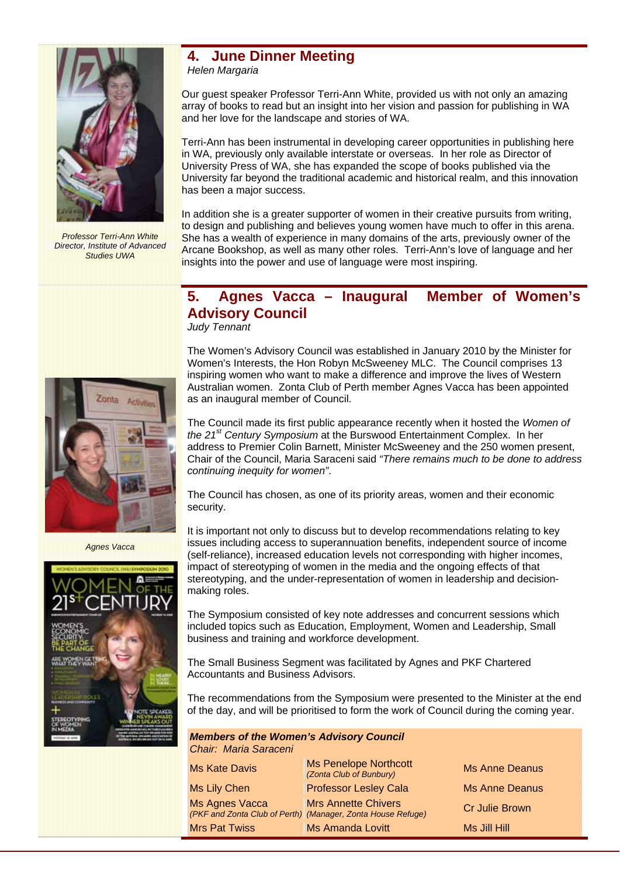

*Professor Terri-Ann White Director, Institute of Advanced Studies UWA* 

# **4. June Dinner Meeting**

*Helen Margaria* 

Our guest speaker Professor Terri-Ann White, provided us with not only an amazing array of books to read but an insight into her vision and passion for publishing in WA and her love for the landscape and stories of WA.

Terri-Ann has been instrumental in developing career opportunities in publishing here in WA, previously only available interstate or overseas. In her role as Director of University Press of WA, she has expanded the scope of books published via the University far beyond the traditional academic and historical realm, and this innovation has been a major success.

In addition she is a greater supporter of women in their creative pursuits from writing, to design and publishing and believes young women have much to offer in this arena. She has a wealth of experience in many domains of the arts, previously owner of the Arcane Bookshop, as well as many other roles. Terri-Ann's love of language and her insights into the power and use of language were most inspiring.

# **5. Agnes Vacca – Inaugural Member of Women's Advisory Council**

*Judy Tennant* 

The Women's Advisory Council was established in January 2010 by the Minister for Women's Interests, the Hon Robyn McSweeney MLC. The Council comprises 13 inspiring women who want to make a difference and improve the lives of Western Australian women. Zonta Club of Perth member Agnes Vacca has been appointed as an inaugural member of Council.

The Council made its first public appearance recently when it hosted the *Women of the 21st Century Symposium* at the Burswood Entertainment Complex. In her address to Premier Colin Barnett, Minister McSweeney and the 250 women present, Chair of the Council, Maria Saraceni said *"There remains much to be done to address continuing inequity for women"*.

The Council has chosen, as one of its priority areas, women and their economic security.

It is important not only to discuss but to develop recommendations relating to key issues including access to superannuation benefits, independent source of income (self-reliance), increased education levels not corresponding with higher incomes, impact of stereotyping of women in the media and the ongoing effects of that stereotyping, and the under-representation of women in leadership and decisionmaking roles.

The Symposium consisted of key note addresses and concurrent sessions which included topics such as Education, Employment, Women and Leadership, Small business and training and workforce development.

The Small Business Segment was facilitated by Agnes and PKF Chartered Accountants and Business Advisors.

The recommendations from the Symposium were presented to the Minister at the end of the day, and will be prioritised to form the work of Council during the coming year.

*Members of the Women's Advisory Council Chair: Maria Saraceni* 

| <b>Ms Kate Davis</b> | <b>Ms Penelope Northcott</b><br>(Zonta Club of Bunbury)                                   | <b>Ms Anne Deanus</b> |
|----------------------|-------------------------------------------------------------------------------------------|-----------------------|
| Ms Lily Chen         | <b>Professor Lesley Cala</b>                                                              | <b>Ms Anne Deanus</b> |
| Ms Agnes Vacca       | <b>Mrs Annette Chivers</b><br>(PKF and Zonta Club of Perth) (Manager, Zonta House Refuge) | <b>Cr Julie Brown</b> |
| <b>Mrs Pat Twiss</b> | <b>Ms Amanda Lovitt</b>                                                                   | Ms Jill Hill          |



*Agnes Vacca* 

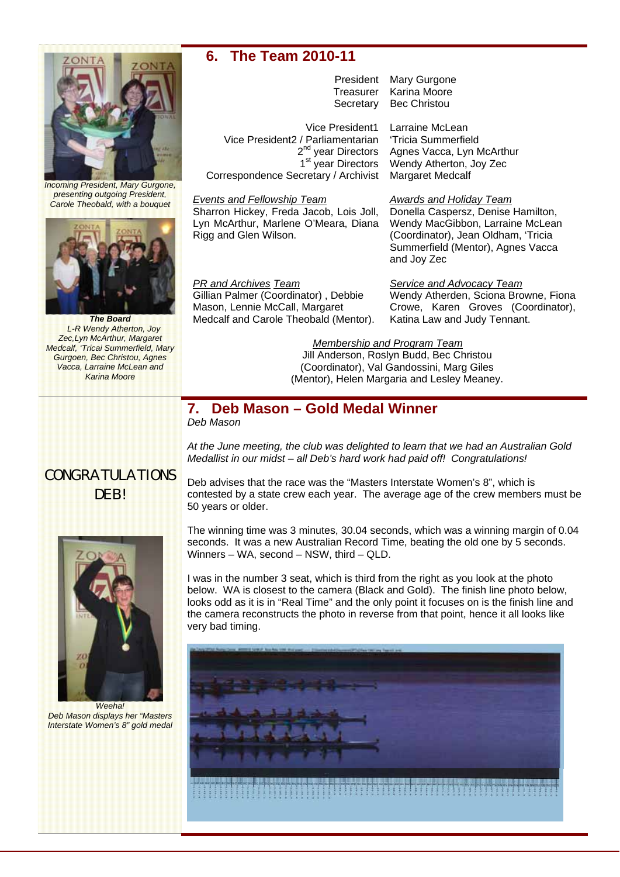

*Incoming President, Mary Gurgone, presenting outgoing President, Carole Theobald, with a bouquet* 



*The Board L-R Wendy Atherton, Joy Zec,Lyn McArthur, Margaret Medcalf, 'Tricai Summerfield, Mary Gurgoen, Bec Christou, Agnes Vacca, Larraine McLean and Karina Moore* 

# **6. The Team 2010-11**

President Mary Gurgone Treasurer Karina Moore Secretary Bec Christou

Vice President1 Larraine McLean Vice President2 / Parliamentarian 'Tricia Summerfield<br>2<sup>nd</sup> year Directors Agnes Vacca, Lyn M<br>1<sup>st</sup> year Directors Wendy Atherton, Jo Correspondence Secretary / Archivist Margaret Medcalf

# *Events and Fellowship Team*

Sharron Hickey, Freda Jacob, Lois Joll, Lyn McArthur, Marlene O'Meara, Diana Rigg and Glen Wilson.

*PR and Archives Team*  Gillian Palmer (Coordinator) , Debbie Mason, Lennie McCall, Margaret Medcalf and Carole Theobald (Mentor).

50 years or older.

# Agnes Vacca, Lyn McArthur Wendy Atherton, Joy Zec

## *Awards and Holiday Team*

Donella Caspersz, Denise Hamilton, Wendy MacGibbon, Larraine McLean (Coordinator), Jean Oldham, 'Tricia Summerfield (Mentor), Agnes Vacca and Joy Zec

*Service and Advocacy Team*

Wendy Atherden, Sciona Browne, Fiona Crowe, Karen Groves (Coordinator), Katina Law and Judy Tennant.

### *Membership and Program Team*

*At the June meeting, the club was delighted to learn that we had an Australian Gold* 

contested by a state crew each year. The average age of the crew members must be

*Medallist in our midst – all Deb's hard work had paid off! Congratulations!* 

Deb advises that the race was the "Masters Interstate Women's 8", which is

Jill Anderson, Roslyn Budd, Bec Christou (Coordinator), Val Gandossini, Marg Giles (Mentor), Helen Margaria and Lesley Meaney.

## **7. Deb Mason – Gold Medal Winner**  *Deb Mason*



CONGRATULATIONS

The winning time was 3 minutes, 30.04 seconds, which was a winning margin of 0.04 seconds. It was a new Australian Record Time, beating the old one by 5 seconds. Winners – WA, second – NSW, third – QLD. I was in the number 3 seat, which is third from the right as you look at the photo

below. WA is closest to the camera (Black and Gold). The finish line photo below, looks odd as it is in "Real Time" and the only point it focuses on is the finish line and the camera reconstructs the photo in reverse from that point, hence it all looks like very bad timing.



*Weeha! Deb Mason displays her "Masters Interstate Women's 8" gold medal*